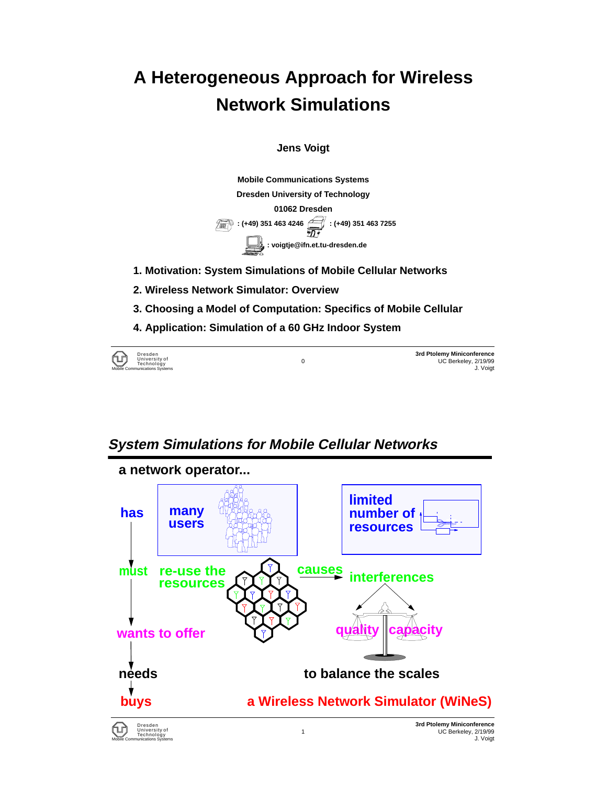# **A Heterogeneous Approach for Wireless Network Simulations**

**Jens Voigt**

**Mobile Communications Systems Dresden University of Technology 01062 Dresden 10 1449) 351 463 4246 1246** : (+49) 351 463 7255 **: voigtje@ifn.et.tu-dresden.de**

- **1. Motivation: System Simulations of Mobile Cellular Networks**
- **2. Wireless Network Simulator: Overview**
- **3. Choosing a Model of Computation: Specifics of Mobile Cellular**
- **4. Application: Simulation of a 60 GHz Indoor System**



**3rd Ptolemy Miniconference** 0 UC Berkeley, 2/19/99 Mobile Communications Systems J. Voigt

### **System Simulations for Mobile Cellular Networks**

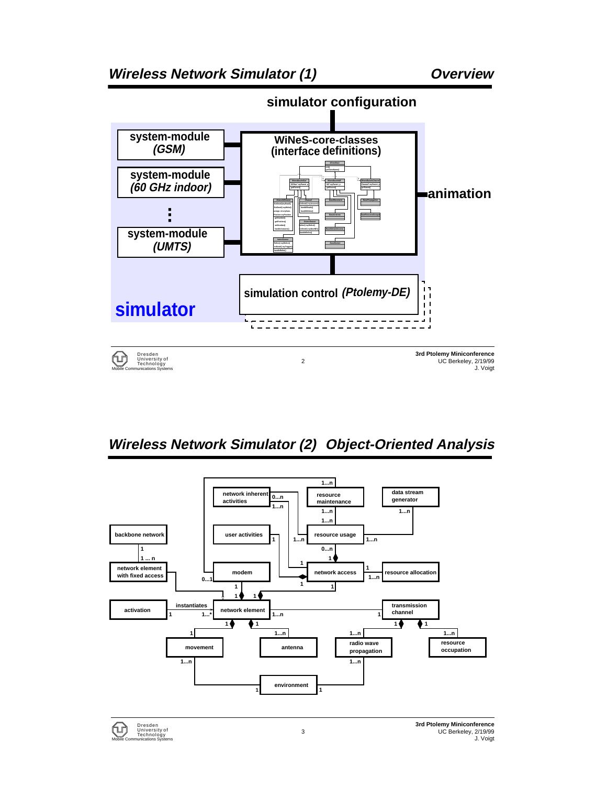

### **Wireless Network Simulator (2) Object-Oriented Analysis**



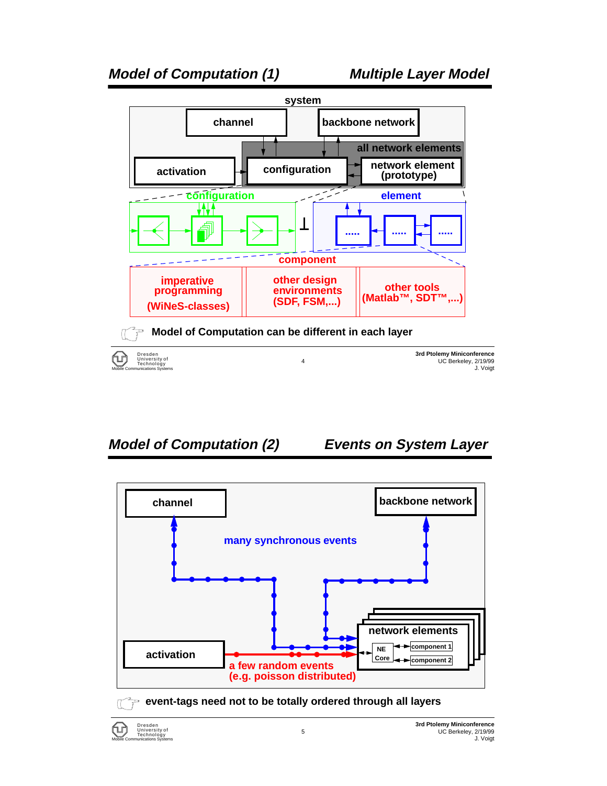

### **Model of Computation (2) Events on System Layer**



**event-tags need not to be totally ordered through all layers**

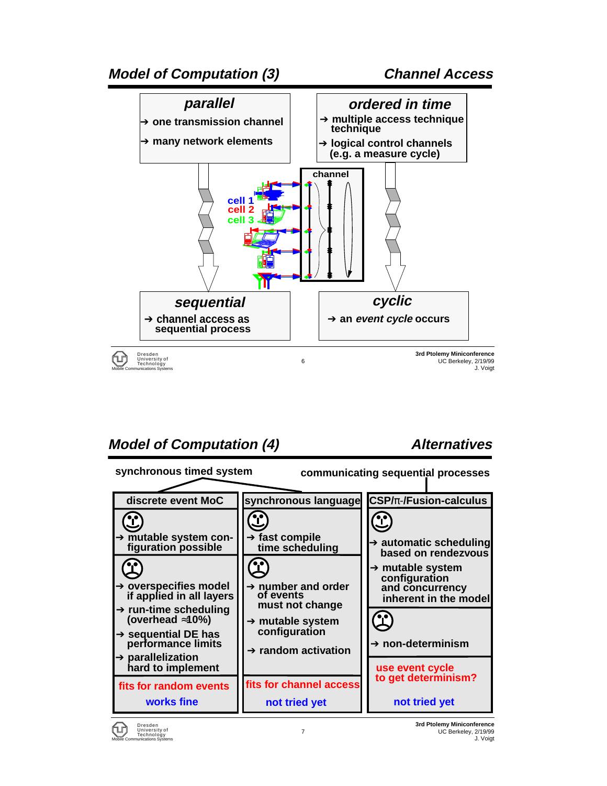

### **Model of Computation (4) Alternatives**



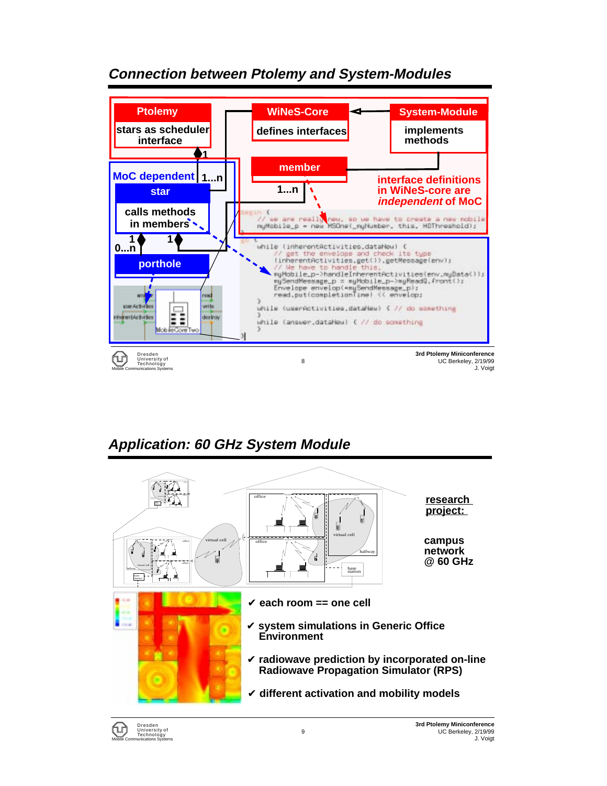

### **Connection between Ptolemy and System-Modules**

## **Application: 60 GHz System Module**



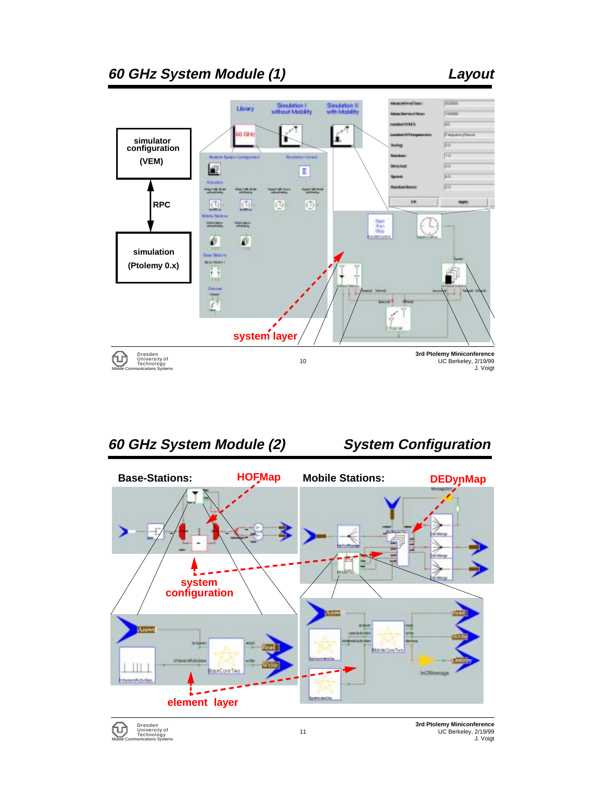

**60 GHz System Module (2) System Configuration Base-Stations: HOFMap** Mobile Stations: **DEDynMap** ⋗ **systemconfiguration Robin Con Tyre**  $|||$ **BaseCoreTw HOM element layer**